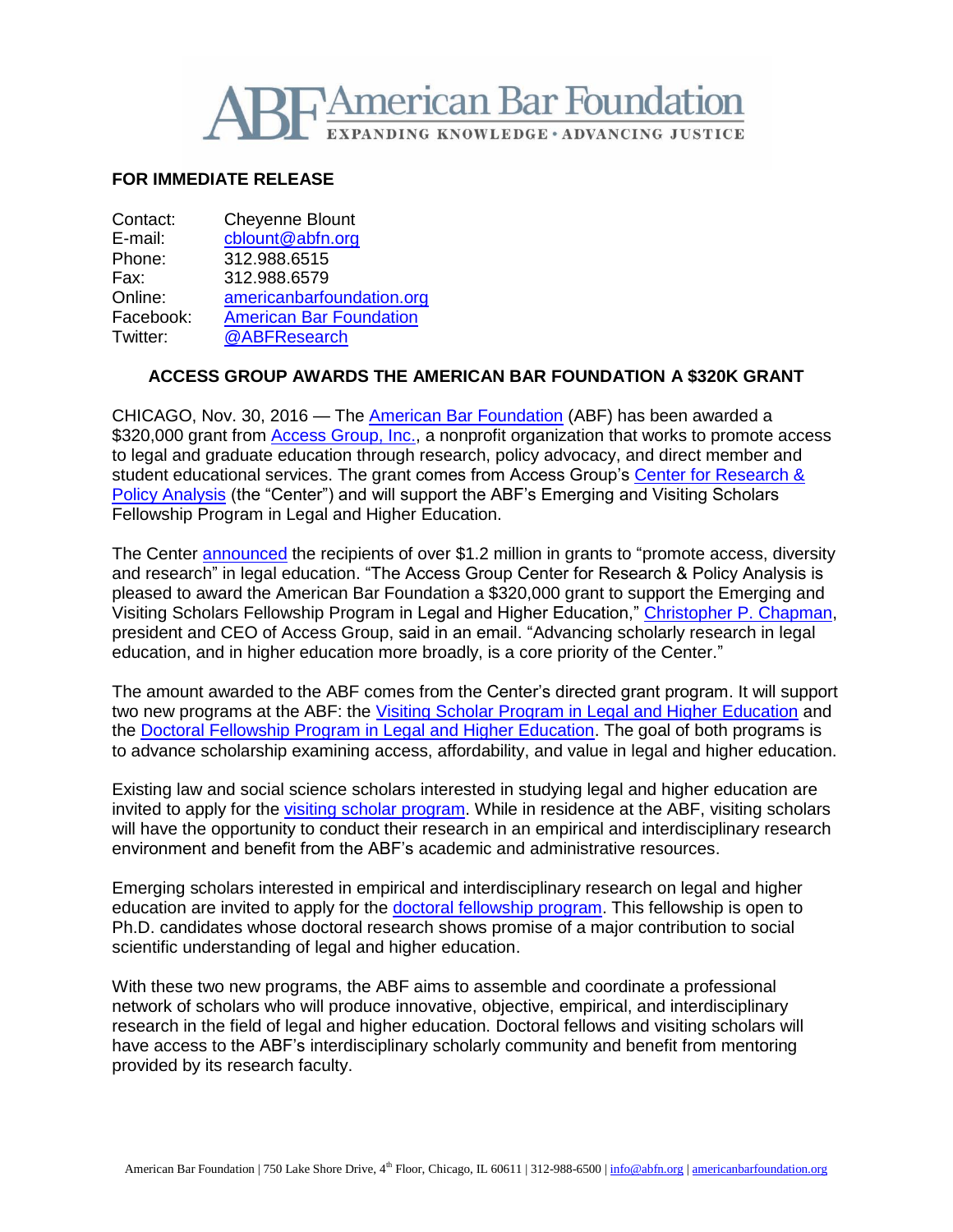

## **FOR IMMEDIATE RELEASE**

Contact: Cheyenne Blount E-mail: [cblount@abfn.org](mailto:cblount@abfn.org) Phone: 312.988.6515 Fax: 312.988.6579 Online: [americanbarfoundation.org](http://www.americanbarfoundation.org/) Facebook: [American Bar Foundation](https://www.facebook.com/americanbarfoundation/)<br>Twitter: @ABFResearch [@ABFResearch](https://twitter.com/ABFResearch)

## **ACCESS GROUP AWARDS THE AMERICAN BAR FOUNDATION A \$320K GRANT**

CHICAGO, Nov. 30, 2016 — The [American Bar Foundation](http://www.americanbarfoundation.org/) (ABF) has been awarded a \$320,000 grant from [Access Group, Inc.,](http://www.accessgroup.org/) a nonprofit organization that works to promote access to legal and graduate education through research, policy advocacy, and direct member and student educational services. The grant comes from Access Group's Center for Research & [Policy Analysis](https://www.accessgroup.org/research) (the "Center") and will support the ABF's Emerging and Visiting Scholars Fellowship Program in Legal and Higher Education.

The Center [announced](https://www.accessgroup.org/research/news/access-group-center-research-policy-analysis%C2%AE-awards-12-m-promote-diversity-and-access) the recipients of over \$1.2 million in grants to "promote access, diversity and research" in legal education. "The Access Group Center for Research & Policy Analysis is pleased to award the American Bar Foundation a \$320,000 grant to support the Emerging and Visiting Scholars Fellowship Program in Legal and Higher Education," [Christopher P. Chapman,](https://www.accessgroup.org/management-team) president and CEO of Access Group, said in an email. "Advancing scholarly research in legal education, and in higher education more broadly, is a core priority of the Center."

The amount awarded to the ABF comes from the Center's directed grant program. It will support two new programs at the ABF: the [Visiting Scholar Program in Legal and Higher Education](http://www.americanbarfoundation.org/faculty/ResearchCommunity/Visiting_Scholars/ABF_AGI_Visiting_Scholar_Program_in_Legal_and_Higher_Education.html) and the [Doctoral Fellowship Program in Legal and Higher Education.](http://www.americanbarfoundation.org/research/Fellowshipopportunities/ABF_AGI_Doctoral_Fellowship_Program_in_Legal___Higher_Education.html) The goal of both programs is to advance scholarship examining access, affordability, and value in legal and higher education.

Existing law and social science scholars interested in studying legal and higher education are invited to apply for the [visiting scholar program.](http://www.americanbarfoundation.org/faculty/ResearchCommunity/Visiting_Scholars/ABF_AGI_Visiting_Scholar_Program_in_Legal_and_Higher_Education.html) While in residence at the ABF, visiting scholars will have the opportunity to conduct their research in an empirical and interdisciplinary research environment and benefit from the ABF's academic and administrative resources.

Emerging scholars interested in empirical and interdisciplinary research on legal and higher education are invited to apply for the [doctoral fellowship program.](http://www.americanbarfoundation.org/research/Fellowshipopportunities/ABF_AGI_Doctoral_Fellowship_Program_in_Legal___Higher_Education.html) This fellowship is open to Ph.D. candidates whose doctoral research shows promise of a major contribution to social scientific understanding of legal and higher education.

With these two new programs, the ABF aims to assemble and coordinate a professional network of scholars who will produce innovative, objective, empirical, and interdisciplinary research in the field of legal and higher education. Doctoral fellows and visiting scholars will have access to the ABF's interdisciplinary scholarly community and benefit from mentoring provided by its research faculty.